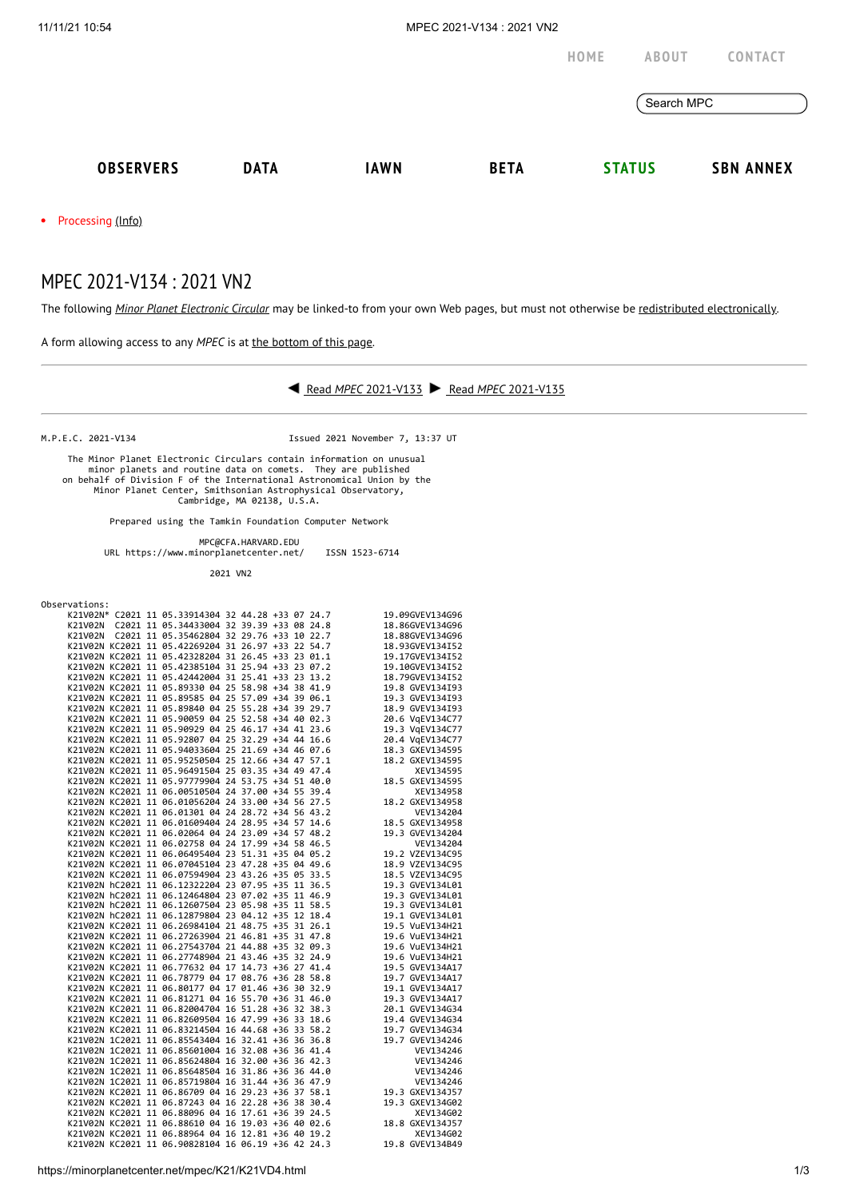

Processing [\(Info\)](https://minorplanetcenter.net/iau/info/MPCOpStatus.html)  $\bullet$ 

## MPEC 2021-V134 : 2021 VN2

The following *Minor Planet [Electronic](https://minorplanetcenter.net/iau/services/MPEC.html) Circular* may be linked-to from your own Web pages, but must not otherwise be redistributed [electronically](https://minorplanetcenter.net/iau/WWWPolicy.html).

A form allowing access to any *MPEC* is at the [bottom](https://minorplanetcenter.net/mpec/K19/K21VD4.html#form) of this page.



M.P.E.C. 2021-V134 Issued 2021 November 7, 13:37 UT

 The Minor Planet Electronic Circulars contain information on unusual minor planets and routine data on comets. They are published on behalf of Division F of the International Astronomical Union by the Minor Planet Center, Smithsonian Astrophysical Observatory, Cambridge, MA 02138, U.S.A.

Prepared using the Tamkin Foundation Computer Network

MPC@CFA.HARVARD.EDU

URL https://www.minorplanetcenter.net/ ISSN 1523-6714

2021 VN2

Observations:

|  |  | K21V02N* C2021 11 05.33914304 32 44.28 +33 07 24.7                                                       |  |  | 19.09GVEV134G96                                                                                                                                                                                                                         |
|--|--|----------------------------------------------------------------------------------------------------------|--|--|-----------------------------------------------------------------------------------------------------------------------------------------------------------------------------------------------------------------------------------------|
|  |  |                                                                                                          |  |  |                                                                                                                                                                                                                                         |
|  |  |                                                                                                          |  |  |                                                                                                                                                                                                                                         |
|  |  |                                                                                                          |  |  |                                                                                                                                                                                                                                         |
|  |  |                                                                                                          |  |  | K2102N* C2021 11 05.33413304 32 39.39 +33 07 24.8<br>K2102N* C2021 11 05.34433064 32 39.39 +33 08 24.8<br>K2102N C2021 11 05.34433064 32 39.39 +33 08 24.8<br>K2102N KC2021 11 05.42269204 31 26.97 +33 22 54.7<br>K2102N KC2021 11 05  |
|  |  |                                                                                                          |  |  |                                                                                                                                                                                                                                         |
|  |  |                                                                                                          |  |  |                                                                                                                                                                                                                                         |
|  |  |                                                                                                          |  |  |                                                                                                                                                                                                                                         |
|  |  |                                                                                                          |  |  |                                                                                                                                                                                                                                         |
|  |  |                                                                                                          |  |  |                                                                                                                                                                                                                                         |
|  |  |                                                                                                          |  |  |                                                                                                                                                                                                                                         |
|  |  | X21V02N KC2021 11 05.90059 04 25 52.58 +34 40 02.3<br>K21V02N KC2021 11 05.90059 04 25 52.58 +34 40 02.3 |  |  | 20.6 VgEV134C77                                                                                                                                                                                                                         |
|  |  |                                                                                                          |  |  |                                                                                                                                                                                                                                         |
|  |  |                                                                                                          |  |  |                                                                                                                                                                                                                                         |
|  |  |                                                                                                          |  |  |                                                                                                                                                                                                                                         |
|  |  |                                                                                                          |  |  |                                                                                                                                                                                                                                         |
|  |  |                                                                                                          |  |  |                                                                                                                                                                                                                                         |
|  |  |                                                                                                          |  |  |                                                                                                                                                                                                                                         |
|  |  |                                                                                                          |  |  |                                                                                                                                                                                                                                         |
|  |  |                                                                                                          |  |  |                                                                                                                                                                                                                                         |
|  |  |                                                                                                          |  |  |                                                                                                                                                                                                                                         |
|  |  |                                                                                                          |  |  |                                                                                                                                                                                                                                         |
|  |  |                                                                                                          |  |  |                                                                                                                                                                                                                                         |
|  |  |                                                                                                          |  |  |                                                                                                                                                                                                                                         |
|  |  |                                                                                                          |  |  | $k21092N (K22621 11 05.99499 425 52.289 + 34 44 16.5 19.3 \nV(1342192) 842148416416649540421 11 05.90959 94 25 52.58 +34 44 9 62.3 20.6 \nV(134C77) 82102N (K22621 11 65.92807 042 53.29 +34 44 16.6 19.3 \nV(134277) 82102N (K2621 11$ |
|  |  |                                                                                                          |  |  |                                                                                                                                                                                                                                         |
|  |  |                                                                                                          |  |  |                                                                                                                                                                                                                                         |
|  |  |                                                                                                          |  |  |                                                                                                                                                                                                                                         |
|  |  |                                                                                                          |  |  |                                                                                                                                                                                                                                         |
|  |  |                                                                                                          |  |  |                                                                                                                                                                                                                                         |
|  |  |                                                                                                          |  |  |                                                                                                                                                                                                                                         |
|  |  |                                                                                                          |  |  |                                                                                                                                                                                                                                         |
|  |  |                                                                                                          |  |  |                                                                                                                                                                                                                                         |
|  |  |                                                                                                          |  |  |                                                                                                                                                                                                                                         |
|  |  |                                                                                                          |  |  |                                                                                                                                                                                                                                         |
|  |  |                                                                                                          |  |  |                                                                                                                                                                                                                                         |
|  |  |                                                                                                          |  |  |                                                                                                                                                                                                                                         |
|  |  |                                                                                                          |  |  |                                                                                                                                                                                                                                         |
|  |  |                                                                                                          |  |  |                                                                                                                                                                                                                                         |
|  |  |                                                                                                          |  |  |                                                                                                                                                                                                                                         |
|  |  |                                                                                                          |  |  |                                                                                                                                                                                                                                         |
|  |  |                                                                                                          |  |  |                                                                                                                                                                                                                                         |
|  |  |                                                                                                          |  |  |                                                                                                                                                                                                                                         |
|  |  |                                                                                                          |  |  |                                                                                                                                                                                                                                         |
|  |  |                                                                                                          |  |  |                                                                                                                                                                                                                                         |
|  |  |                                                                                                          |  |  |                                                                                                                                                                                                                                         |
|  |  |                                                                                                          |  |  |                                                                                                                                                                                                                                         |
|  |  |                                                                                                          |  |  | ACRIVENT ACCRET 11 06.27263904 21 46.81 +35 31 47.8<br>X21V62N KC2021 11 06.27263904 21 46.81 +35 31 47.8<br>X21V62N KC2021 11 06.27748904 21 44.88 +35 32 24.9<br>X21V62N KC2021 11 06.77632 04 17 14.73 +36 27 41.4<br>X21V62N KC20   |
|  |  |                                                                                                          |  |  |                                                                                                                                                                                                                                         |
|  |  |                                                                                                          |  |  |                                                                                                                                                                                                                                         |
|  |  |                                                                                                          |  |  |                                                                                                                                                                                                                                         |
|  |  |                                                                                                          |  |  |                                                                                                                                                                                                                                         |
|  |  |                                                                                                          |  |  |                                                                                                                                                                                                                                         |
|  |  |                                                                                                          |  |  |                                                                                                                                                                                                                                         |
|  |  |                                                                                                          |  |  |                                                                                                                                                                                                                                         |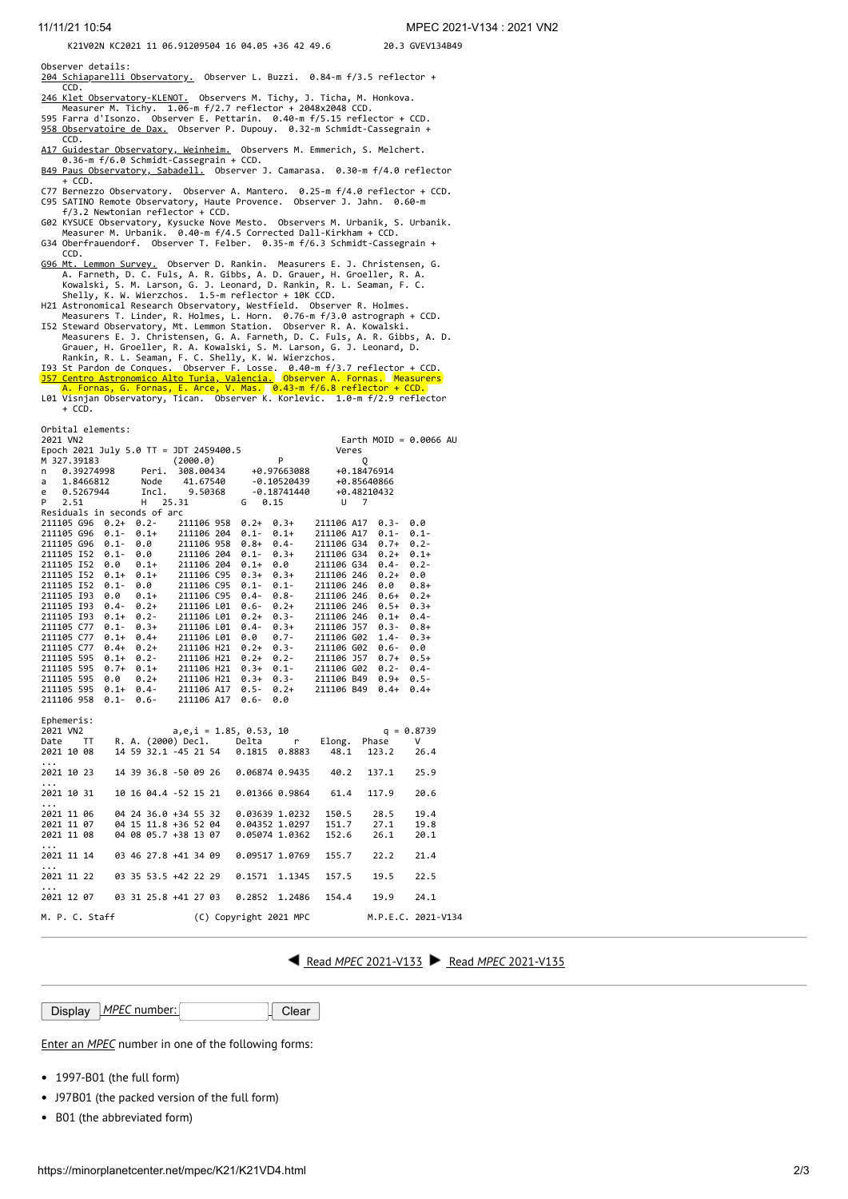## K21V02N KC2021 11 06.91209504 16 04.05 +36 42 49.6 20.3 GVEV134B49

- Observer details:<br><u>[204 Schiaparelli Observatory.](http://www.astrogeo.va.it/)</u> Observer L. Buzzi. 0.84-m f/3.5 reflector + CCD.
- [246 Klet Observatory-KLENOT.](http://www.klet.org/) Observers M. Tichy, J. Ticha, M. Honkova. Measurer M. Tichy. 1.06-m f/2.7 reflector + 2048x2048 CCD. 595 Farra d'Isonzo. Observer E. Pettarin. 0.40-m f/5.15 reflector + CCD.
- [958 Observatoire de Dax.](http://www.astrosurf.com/obsdax) Observer P. Dupouy. 0.32-m Schmidt-Cassegrain +
- CCD.<br><u>[A17 Guidestar Observatory, Weinheim.](http://www.guidestar.de/)</u> Observers M. Emmerich, S. Melchert.<br>0.36-m f/6.0 Schmidt-Cassegrain + CCD.
- [B49 Paus Observatory, Sabadell.](http://obspausb49.blogspot.com.es/) Observer J. Camarasa. 0.30-m f/4.0 reflector
- $+$  CCD.
- C77 Bernezzo Observatory. Observer A. Mantero. 0.25-m f/4.0 reflector + CCD. C95 SATINO Remote Observatory, Haute Provence. Observer J. Jahn. 0.60-m f/3.2 Newtonian reflector + CCD.
- G02 KYSUCE Observatory, Kysucke Nove Mesto. Observers M. Urbanik, S. Urbanik. Measurer M. Urbanik. 0.40-m f/4.5 Corrected Dall-Kirkham + CCD.
- G34 Oberfrauendorf. Observer T. Felber. 0.35-m f/6.3 Schmidt-Cassegrain + CCD.
- 
- 
- CCD.<br>
<u>[G96 Mt. Lemmon Survey.](http://www.lpl.arizona.edu/css/)</u> Observer D. Rankin. Measurers E. J. Christensen, G.<br>
A. Farneth, D. C. Fuls, A. R. Gibbs, A. D. Grauer, H. Groeller, R. A.<br>
Kowalski, S. M. Larson, G. J. Leonard, D. Rankin, R. L. Seaman, F.
- 
- 
- Orbital elements:

| 2021 VN2                                                                                                                                                                                      |                                                                                                  |                            |                 | Earth MOID = $0.0066$ AU |      |  |  |  |  |  |  |  |  |  |
|-----------------------------------------------------------------------------------------------------------------------------------------------------------------------------------------------|--------------------------------------------------------------------------------------------------|----------------------------|-----------------|--------------------------|------|--|--|--|--|--|--|--|--|--|
| Epoch 2021 July 5.0 TT = JDT 2459400.5                                                                                                                                                        |                                                                                                  |                            | Veres           |                          |      |  |  |  |  |  |  |  |  |  |
| M 327.39183                                                                                                                                                                                   | (2000.0)                                                                                         |                            |                 |                          |      |  |  |  |  |  |  |  |  |  |
| 0.39274998 Peri.<br>n                                                                                                                                                                         | 0 (2000.0) P<br>Peri. 308.00434 +0.97663088 +0.18476914<br>Node 41.67540 -0.10520439 +0.85640866 |                            |                 |                          |      |  |  |  |  |  |  |  |  |  |
| 1.8466812<br>a                                                                                                                                                                                |                                                                                                  |                            |                 |                          |      |  |  |  |  |  |  |  |  |  |
| e 0.5267944                                                                                                                                                                                   | Incl. 9.50368 -0.18741440 +0.48210432                                                            |                            |                 |                          |      |  |  |  |  |  |  |  |  |  |
| 2.51<br>P                                                                                                                                                                                     | 25.31<br>H                                                                                       | $G \t 0.15$                | $U$ 7           |                          |      |  |  |  |  |  |  |  |  |  |
| Residuals in seconds of arc                                                                                                                                                                   |                                                                                                  |                            |                 |                          |      |  |  |  |  |  |  |  |  |  |
| 211105 G96 0.2+ 0.2-                                                                                                                                                                          |                                                                                                  | 211106 958 0.2+ 0.3+       | 211106 A17 0.3- | 0.0                      |      |  |  |  |  |  |  |  |  |  |
| 211105 G96 0.1-<br>$0.1+$                                                                                                                                                                     | 211106 204                                                                                       | $0.1+$<br>$0.1 -$          | 211106 A17 0.1- | $0.1 -$                  |      |  |  |  |  |  |  |  |  |  |
| 211105 G96 0.1-                                                                                                                                                                               | 0.0<br>211106 958                                                                                | $0.8 +$<br>$0.4 -$         | 211106 G34 0.7+ | $0.2 -$                  |      |  |  |  |  |  |  |  |  |  |
| 211105 152 0.1-                                                                                                                                                                               |                                                                                                  | $0.3+$                     | 211106 G34 0.2+ | $0.1+$                   |      |  |  |  |  |  |  |  |  |  |
| 211105 152 0.0                                                                                                                                                                                | $0.0$ 211106 204 0.1-<br>0.1+ 211106 204 0.1+                                                    | 0.3+<br>0.0                | 211106 G34 0.4- | $0.2 -$                  |      |  |  |  |  |  |  |  |  |  |
| 211105 152 0.1+ 0.1+ 211106 C95                                                                                                                                                               |                                                                                                  | $0.3+$<br>$0.3+$           | 211106 246      | 0.0<br>$0.2 +$           |      |  |  |  |  |  |  |  |  |  |
| 211105 152<br>$0.1 -$                                                                                                                                                                         | 211106 C95<br>0.0                                                                                | $0.1 -$<br>$0.1 -$         | 211106 246      | 0.0<br>$0.8 +$           |      |  |  |  |  |  |  |  |  |  |
| 211105 193<br>0.0                                                                                                                                                                             |                                                                                                  | $0.8 -$                    | 211106 246 0.6+ | $0.2+$                   |      |  |  |  |  |  |  |  |  |  |
| 211105 193 0.4-                                                                                                                                                                               | 0.1+ 211106 C95 0.4-<br>0.2+ 211106 L01 0.6-                                                     | $0.2 +$                    | 211106 246 0.5+ | $0.3+$                   |      |  |  |  |  |  |  |  |  |  |
| 211105 193                                                                                                                                                                                    | $0.1+ 0.2- 211106 \text{ L}01$                                                                   | $0.3 -$<br>$0.2+$          | 211106 246      | $0.1+$<br>$0.4 -$        |      |  |  |  |  |  |  |  |  |  |
| 211105 C77<br>$0.1 -$<br>$0.3+$                                                                                                                                                               | 211106 L01                                                                                       | $0.4 -$<br>$0.3+$          | 211106 J57      | $0.3 -$<br>$0.8 +$       |      |  |  |  |  |  |  |  |  |  |
|                                                                                                                                                                                               |                                                                                                  | 0.0<br>$0.7 -$             | 211106 G02      | $1.4 -$<br>$0.3+$        |      |  |  |  |  |  |  |  |  |  |
| 211105 C77 0.1+ 0.4+ 211106 L01<br>211105 C77 0.4+ 0.2+ 211106 H21                                                                                                                            |                                                                                                  | $0.2 + 0.3$                | 211106 G02 0.6- | 0.0                      |      |  |  |  |  |  |  |  |  |  |
| 211105 595<br>$0.1 +$                                                                                                                                                                         | 0.2- 211106 H21                                                                                  | $0.2 + 0.2 -$              | 211106 J57 0.7+ | $0.5+$                   |      |  |  |  |  |  |  |  |  |  |
|                                                                                                                                                                                               |                                                                                                  |                            |                 |                          |      |  |  |  |  |  |  |  |  |  |
|                                                                                                                                                                                               |                                                                                                  |                            |                 |                          |      |  |  |  |  |  |  |  |  |  |
| $211105 595 0.7+ 0.1+ 211106 H21 0.3+ 0.1- 211106 G02 0.2- 0.4- 211105 595 0.0 0.2+ 211106 H21 0.3+ 0.3- 211106 B49 0.9+ 0.5- 211105 595 0.1+ 0.4- 211106 A17 0.5- 0.2+ 211106 B49 0.4+ 0.4+$ |                                                                                                  | $0.2 +$                    |                 |                          |      |  |  |  |  |  |  |  |  |  |
| 211106 958<br>$0.1 -$                                                                                                                                                                         | $0.6 - 211106$ A17                                                                               | $0.6 -$<br>0.0             |                 |                          |      |  |  |  |  |  |  |  |  |  |
|                                                                                                                                                                                               |                                                                                                  |                            |                 |                          |      |  |  |  |  |  |  |  |  |  |
| Ephemeris:                                                                                                                                                                                    |                                                                                                  |                            |                 |                          |      |  |  |  |  |  |  |  |  |  |
| 2021 VN2                                                                                                                                                                                      |                                                                                                  | $a, e, i = 1.85, 0.53, 10$ |                 | $q = 0.8739$             |      |  |  |  |  |  |  |  |  |  |
| Date TT                                                                                                                                                                                       | R. A. (2000) Decl. Delta r                                                                       |                            | Elong.          | Phase<br>v               |      |  |  |  |  |  |  |  |  |  |
| 2021 10 08                                                                                                                                                                                    | 14 59 32.1 -45 21 54 0.1815 0.8883                                                               |                            | 48.1            | 123.2                    | 26.4 |  |  |  |  |  |  |  |  |  |
| .                                                                                                                                                                                             |                                                                                                  |                            |                 |                          |      |  |  |  |  |  |  |  |  |  |
| 2021 10 23                                                                                                                                                                                    | 14 39 36.8 -50 09 26                                                                             | 0.06874 0.9435             | 40.2            | 137.1                    | 25.9 |  |  |  |  |  |  |  |  |  |
| .                                                                                                                                                                                             |                                                                                                  |                            |                 |                          |      |  |  |  |  |  |  |  |  |  |
| 2021 10 31                                                                                                                                                                                    | 10 16 04.4 -52 15 21                                                                             | 0.01366 0.9864             | 61.4            | 117.9                    | 20.6 |  |  |  |  |  |  |  |  |  |
| $\cdots$                                                                                                                                                                                      |                                                                                                  |                            |                 |                          |      |  |  |  |  |  |  |  |  |  |
| 2021 11 06                                                                                                                                                                                    | 04 24 36.0 +34 55 32 0.03639 1.0232                                                              |                            | 150.5           | 28.5                     | 19.4 |  |  |  |  |  |  |  |  |  |
| 2021 11 07                                                                                                                                                                                    | 04 15 11.8 +36 52 04  0.04352 1.0297                                                             |                            | 151.7           | 27.1                     | 19.8 |  |  |  |  |  |  |  |  |  |
| 2021 11 08                                                                                                                                                                                    | 04 08 05.7 +38 13 07 0.05074 1.0362                                                              |                            | 152.6           | 26.1                     | 20.1 |  |  |  |  |  |  |  |  |  |
|                                                                                                                                                                                               |                                                                                                  |                            |                 |                          |      |  |  |  |  |  |  |  |  |  |
| .<br>2021 11 14                                                                                                                                                                               | 03 46 27.8 +41 34 09                                                                             | 0.09517 1.0769             | 155.7           | 22.2                     | 21.4 |  |  |  |  |  |  |  |  |  |
|                                                                                                                                                                                               |                                                                                                  |                            |                 |                          |      |  |  |  |  |  |  |  |  |  |
| $\cdots$<br>2021 11 22                                                                                                                                                                        | 03 35 53.5 +42 22 29                                                                             | 0.1571<br>1.1345           | 157.5           | 19.5                     | 22.5 |  |  |  |  |  |  |  |  |  |
|                                                                                                                                                                                               |                                                                                                  |                            |                 |                          |      |  |  |  |  |  |  |  |  |  |

2021 12 07 03 31 25.8 +41 27 03 0.2852 1.2486 154.4 19.9 24.1

M. P. C. Staff (C) Copyright 2021 MPC M.P.E.C. 2021-V134

Read *MPEC* [2021-V133](https://minorplanetcenter.net/mpec/K21/K21VD3.html) Read *MPEC* [2021-V135](https://minorplanetcenter.net/mpec/K21/K21VD5.html)

Display *MPEC* number: Clear

Enter an *[MPEC](https://minorplanetcenter.net/iau/services/MPEC.html)* number in one of the following forms:

1997-B01 (the full form)

 $.021$  12 07

- J97B01 (the packed version of the full form)
- B01 (the abbreviated form)